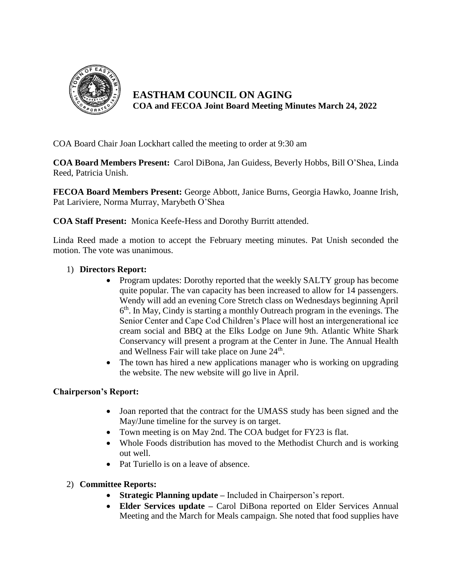

**EASTHAM COUNCIL ON AGING COA and FECOA Joint Board Meeting Minutes March 24, 2022**

COA Board Chair Joan Lockhart called the meeting to order at 9:30 am

**COA Board Members Present:** Carol DiBona, Jan Guidess, Beverly Hobbs, Bill O'Shea, Linda Reed, Patricia Unish.

**FECOA Board Members Present:** George Abbott, Janice Burns, Georgia Hawko, Joanne Irish, Pat Lariviere, Norma Murray, Marybeth O'Shea

**COA Staff Present:** Monica Keefe-Hess and Dorothy Burritt attended.

Linda Reed made a motion to accept the February meeting minutes. Pat Unish seconded the motion. The vote was unanimous.

## 1) **Directors Report:**

- Program updates: Dorothy reported that the weekly SALTY group has become quite popular. The van capacity has been increased to allow for 14 passengers. Wendy will add an evening Core Stretch class on Wednesdays beginning April 6<sup>th</sup>. In May, Cindy is starting a monthly Outreach program in the evenings. The Senior Center and Cape Cod Children's Place will host an intergenerational ice cream social and BBQ at the Elks Lodge on June 9th. Atlantic White Shark Conservancy will present a program at the Center in June. The Annual Health and Wellness Fair will take place on June  $24<sup>th</sup>$ .
- The town has hired a new applications manager who is working on upgrading the website. The new website will go live in April.

## **Chairperson's Report:**

- Joan reported that the contract for the UMASS study has been signed and the May/June timeline for the survey is on target.
- Town meeting is on May 2nd. The COA budget for FY23 is flat.
- Whole Foods distribution has moved to the Methodist Church and is working out well.
- Pat Turiello is on a leave of absence.

## 2) **Committee Reports:**

- **Strategic Planning update –** Included in Chairperson's report.
- **Elder Services update –** Carol DiBona reported on Elder Services Annual Meeting and the March for Meals campaign. She noted that food supplies have